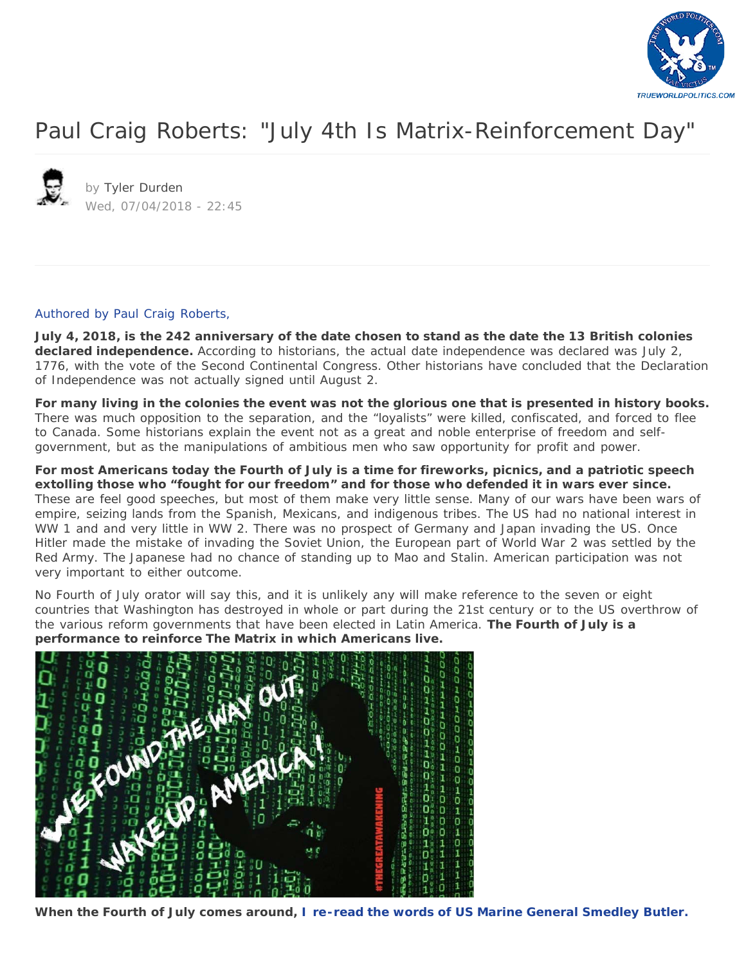

## [Paul Craig Roberts: "July 4th Is Matrix-Reinforcement Day"](https://www.zerohedge.com/news/2018-07-04/paul-craig-roberts-july-4th-matrix-reinforcement-day)



by [Tyler Durden](https://www.zerohedge.com/users/tyler-durden) Wed, 07/04/2018 - 22:45

## *[Authored by Paul Craig Roberts,](https://www.paulcraigroberts.org/2018/07/03/tomorrow-is-matrix-reinforcement-day/)*

**July 4, 2018, is the 242 anniversary of the date chosen to stand as the date the 13 British colonies declared independence.** According to historians, the actual date independence was declared was July 2, 1776, with the vote of the Second Continental Congress. Other historians have concluded that the Declaration of Independence was not actually signed until August 2.

**For many living in the colonies the event was not the glorious one that is presented in history books.** There was much opposition to the separation, and the "loyalists" were killed, confiscated, and forced to flee to Canada. Some historians explain the event not as a great and noble enterprise of freedom and selfgovernment, but as the manipulations of ambitious men who saw opportunity for profit and power.

**For most Americans today the Fourth of July is a time for fireworks, picnics, and a patriotic speech extolling those who "fought for our freedom" and for those who defended it in wars ever since.** These are feel good speeches, but most of them make very little sense. Many of our wars have been wars of empire, seizing lands from the Spanish, Mexicans, and indigenous tribes. The US had no national interest in WW 1 and and very little in WW 2. There was no prospect of Germany and Japan invading the US. Once Hitler made the mistake of invading the Soviet Union, the European part of World War 2 was settled by the Red Army. The Japanese had no chance of standing up to Mao and Stalin. American participation was not very important to either outcome.

No Fourth of July orator will say this, and it is unlikely any will make reference to the seven or eight countries that Washington has destroyed in whole or part during the 21st century or to the US overthrow of the various reform governments that have been elected in Latin America. **The Fourth of July is a performance to reinforce The Matrix in which Americans live.**



**When the Fourth of July comes around, [I re-read the words of US Marine General Smedley Butler.](https://ratical.org/ratville/CAH/warisaracket.pdf)**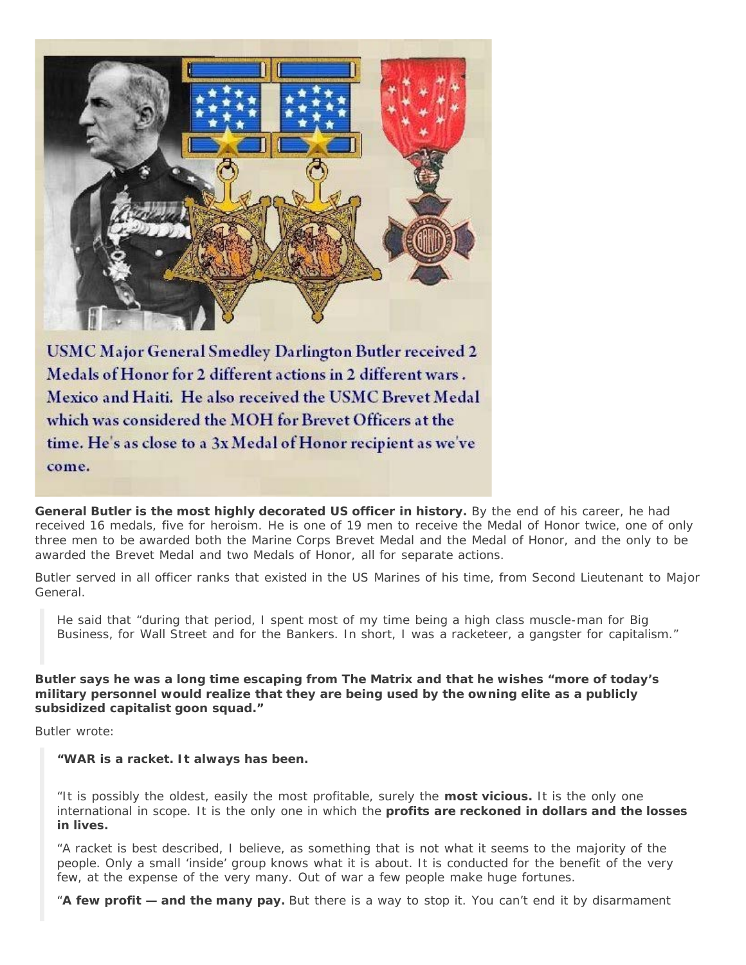

Medals of Honor for 2 different actions in 2 different wars. Mexico and Haiti. He also received the USMC Brevet Medal which was considered the MOH for Brevet Officers at the time. He's as close to a 3x Medal of Honor recipient as we've come.

**General Butler is the most highly decorated US officer in history.** By the end of his career, he had received 16 medals, five for heroism. He is one of 19 men to receive the Medal of Honor twice, one of only three men to be awarded both the Marine Corps Brevet Medal and the Medal of Honor, and the only to be awarded the Brevet Medal and two Medals of Honor, all for separate actions.

Butler served in all officer ranks that existed in the US Marines of his time, from Second Lieutenant to Major General.

*He said that "during that period, I spent most of my time being a high class muscle-man for Big Business, for Wall Street and for the Bankers. In short, I was a racketeer, a gangster for capitalism."*

*Butler says he was a long time escaping from The Matrix and that he wishes "more of today's military personnel would realize that they are being used by the owning elite as a publicly subsidized capitalist goon squad."*

Butler wrote:

*"WAR is a racket. It always has been.*

*"It is possibly the oldest, easily the most profitable, surely the most vicious. It is the only one international in scope. It is the only one in which the profits are reckoned in dollars and the losses in lives.*

*"A racket is best described, I believe, as something that is not what it seems to the majority of the people. Only a small 'inside' group knows what it is about. It is conducted for the benefit of the very few, at the expense of the very many. Out of war a few people make huge fortunes.*

*"A few profit — and the many pay. But there is a way to stop it. You can't end it by disarmament*